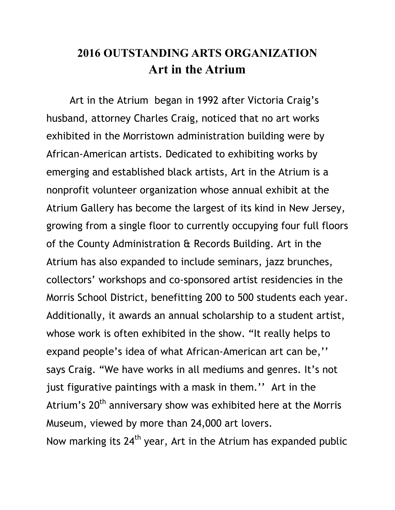## **2016 OUTSTANDING ARTS ORGANIZATION Art in the Atrium**

 Art in the Atrium began in 1992 after Victoria Craig's husband, attorney Charles Craig, noticed that no art works exhibited in the Morristown administration building were by African-American artists. Dedicated to exhibiting works by emerging and established black artists, Art in the Atrium is a nonprofit volunteer organization whose annual exhibit at the Atrium Gallery has become the largest of its kind in New Jersey, growing from a single floor to currently occupying four full floors of the County Administration & Records Building. Art in the Atrium has also expanded to include seminars, jazz brunches, collectors' workshops and co-sponsored artist residencies in the Morris School District, benefitting 200 to 500 students each year. Additionally, it awards an annual scholarship to a student artist, whose work is often exhibited in the show. "It really helps to expand people's idea of what African-American art can be,'' says Craig. "We have works in all mediums and genres. It's not just figurative paintings with a mask in them.'' Art in the Atrium's 20<sup>th</sup> anniversary show was exhibited here at the Morris Museum, viewed by more than 24,000 art lovers. Now marking its  $24<sup>th</sup>$  year, Art in the Atrium has expanded public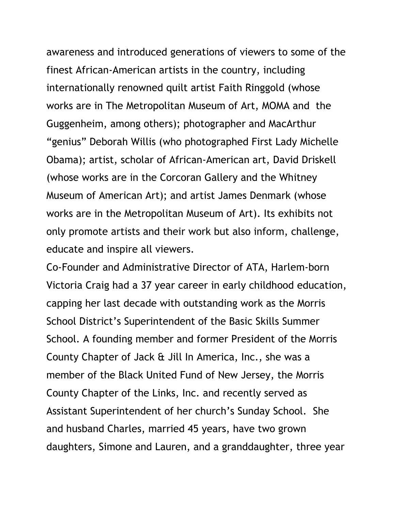awareness and introduced generations of viewers to some of the finest African-American artists in the country, including internationally renowned quilt artist Faith Ringgold (whose works are in The Metropolitan Museum of Art, MOMA and the Guggenheim, among others); photographer and MacArthur "genius" Deborah Willis (who photographed First Lady Michelle Obama); artist, scholar of African-American art, David Driskell (whose works are in the Corcoran Gallery and the Whitney Museum of American Art); and artist James Denmark (whose works are in the Metropolitan Museum of Art). Its exhibits not only promote artists and their work but also inform, challenge, educate and inspire all viewers.

Co-Founder and Administrative Director of ATA, Harlem-born Victoria Craig had a 37 year career in early childhood education, capping her last decade with outstanding work as the Morris School District's Superintendent of the Basic Skills Summer School. A founding member and former President of the Morris County Chapter of Jack & Jill In America, Inc., she was a member of the Black United Fund of New Jersey, the Morris County Chapter of the Links, Inc. and recently served as Assistant Superintendent of her church's Sunday School. She and husband Charles, married 45 years, have two grown daughters, Simone and Lauren, and a granddaughter, three year